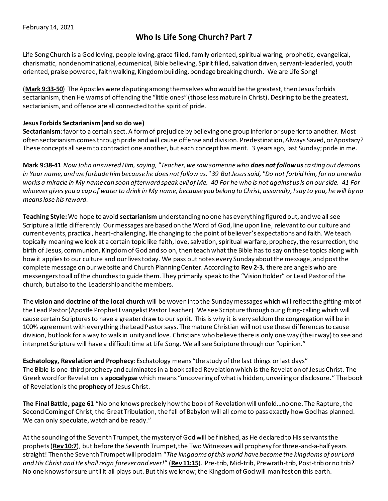# **Who Is Life Song Church? Part 7**

Life Song Church is a God loving, people loving, grace filled, family oriented, spiritual waring, prophetic, evangelical, charismatic, nondenominational, ecumenical, Bible believing, Spirit filled, salvation driven, servant-leader led, youth oriented, praise powered, faith walking, Kingdom building, bondage breaking church. We are Life Song!

(**Mark 9:33-50**) The Apostles were disputing among themselves who would be the greatest, then Jesus forbids sectarianism, then He warns of offending the "little ones" (those less mature in Christ). Desiring to be the greatest, sectarianism, and offence are all connected to the spirit of pride.

### **Jesus Forbids Sectarianism (and so do we)**

**Sectarianism**: favor to a certain sect. A form of prejudice by believing one group inferior or superior to another. Most often sectarianism comes through pride and will cause offense and division. Predestination, Always Saved, or Apostacy? These concepts all seem to contradict one another, but each concept has merit. 3 years ago, last Sunday; pride in me.

**Mark 9:38-41** *Now John answered Him, saying, "Teacher, we saw someone who does not follow us casting out demons in Your name, and we forbade him because he does not follow us." 39 But Jesus said, "Do not forbid him, for no one who works a miracle in My name can soon afterward speak evil of Me. 40 For he who is not against us is on our side. 41 For whoever gives you a cup of water to drink in My name, because you belong to Christ, assuredly, I say to you, he will by no means lose his reward.* 

**Teaching Style:**We hope to avoid **sectarianism** understanding no one has everything figured out, and we all see Scripture a little differently. Our messages are based on the Word of God, line upon line, relevant to our culture and current events, practical, heart-challenging, life changing to the point of believer's expectations and faith. We teach topically meaning we look at a certain topic like faith, love, salvation, spiritual warfare, prophecy, the resurrection, the birth of Jesus, communion, Kingdom of God and so on, then teach what the Bible has to say on these topics along with how it applies to our culture and our lives today. We pass out notes every Sunday about the message, and post the complete message on our website and Church Planning Center. According to **Rev 2-3**, there are angels who are messengers to all of the churches to guide them. They primarily speak to the "Vision Holder" or Lead Pastor of the church, but also to the Leadership and the members.

The **vision and doctrine of the local church** will be woven into the Sunday messageswhich will reflect the gifting-mix of the Lead Pastor (Apostle Prophet Evangelist Pastor Teacher). We see Scripture through our gifting-calling which will cause certain Scriptures to have a greater draw to our spirit. This is why it is very seldom the congregation will be in 100% agreement with everything the Lead Pastor says. The mature Christian will not use these differences to cause division, but look for a way to walk in unity and love. Christians who believe there is only one way (their way) to see and interpret Scripture will have a difficult time at Life Song. We all see Scripture through our "opinion."

**Eschatology, Revelation and Prophecy**: Eschatology means "the study of the last things or last days" The Bible is one-third prophecy and culminates in a book called Revelation which is the Revelation of Jesus Christ. The Greek word for Revelation is **apocalypse** which means "uncovering of what is hidden, unveiling or disclosure." The book of Revelation is the **prophecy** of Jesus Christ.

**The Final Battle, page 61** "No one knows precisely how the book of Revelation will unfold…no one. The Rapture , the Second Coming of Christ, the Great Tribulation, the fall of Babylon will all come to pass exactly how God has planned. We can only speculate, watch and be ready."

At the sounding of the Seventh Trumpet, the mystery of God will be finished, as He declared to His servants the prophets(**Rev 10:7**), but before the Seventh Trumpet, the Two Witnesses will prophesy for three-and-a-half years straight! Then the Seventh Trumpet will proclaim "*The kingdoms of this world have become the kingdoms of our Lord and His Christ and He shall reign forever and ever!*" (**Rev 11:15**). Pre-trib, Mid-trib, Prewrath-trib, Post-trib or no trib? No one knows for sure until it all plays out. But this we know; the Kingdom of God will manifest on this earth.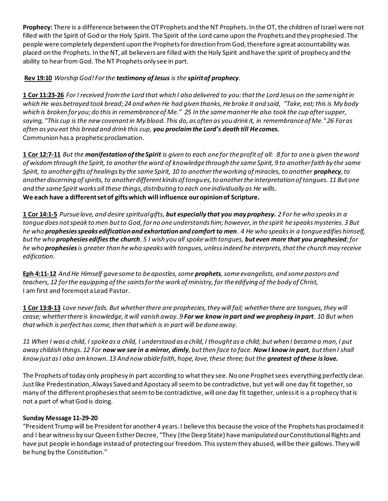**Prophecy:** There is a difference between the OT Prophets and the NT Prophets. In the OT, the children of Israel were not filled with the Spirit of God or the Holy Spirit. The Spirit of the Lord came upon the Prophets and they prophesied. The people were completely dependent upon the Prophets for direction from God, therefore a great accountability was placed on the Prophets. In the NT, all believers are filled with the Holy Spirit and have the spirit of prophecy and the ability to hear from God. The NT Prophets only see in part.

## **Rev 19:10** *Worship God! For the testimony of Jesus is the spirit of prophecy.*

**1 Cor 11:23-26** *For I received from the Lord that which I also delivered to you: that the Lord Jesus on the same night in which He was betrayed took bread; 24 and when He had given thanks, He broke it and said, "Take, eat; this is My body which is broken for you; do this in remembrance of Me." 25 In the same manner He also took the cup after supper, saying, "This cup is the new covenant in My blood. This do, as often as you drink it, in remembrance of Me." 26 For as often as you eat this bread and drink this cup, you proclaim the Lord's death till He comes.* Communion has a prophetic proclamation.

**1 Cor 12:7-11** *But the manifestation of the Spirit is given to each one for the profit of all: 8 for to one is given the word of wisdom through the Spirit, to another the word of knowledge through the same Spirit, 9 to another faith by the same Spirit, to another gifts of healings by the same Spirit, 10 to another the working of miracles, to another prophecy, to another discerning of spirits, to another different kinds of tongues, to another the interpretation of tongues. 11 But one and the same Spirit works all these things, distributing to each one individually as He wills.*  **We each have a different set of gifts which will influence our opinion of Scripture.** 

**1 Cor 14:1-5** *Pursue love, and desire spiritual gifts, but especially that you may prophesy. 2 For he who speaks in a tongue does not speak to men but to God, for no one understands him; however, in the spirit he speaks mysteries. 3 But he who prophesies speaks edification and exhortation and comfort to men. 4 He who speaks in a tongue edifies himself, but he who prophesies edifies the church. 5 I wish you all spoke with tongues, but even more that you prophesied; for he who prophesiesis greater than he who speaks with tongues, unless indeed he interprets, that the church may receive edification.*

**Eph 4:11-12** *And He Himself gave some to be apostles, some prophets, some evangelists, and some pastors and teachers, 12 for the equipping of the saints for the work of ministry, for the edifying of the body of Christ,*  I am first and foremost a Lead Pastor.

**1 Cor 13:8-13** *Love never fails. But whether there are prophecies, they will fail; whether there are tongues, they will cease; whether there is knowledge, it will vanish away. 9 For we know in part and we prophesy in part. 10 But when that which is perfect has come, then that which is in part will be done away.* 

*11 When I was a child, I spoke as a child, I understood as a child, I thought as a child; but when I became a man, I put away childish things. 12 For now we see in a mirror, dimly, but then face to face. Now I know in part, but then I shall know just as I also am known. 13 And now abide faith, hope, love, these three; but the greatest of these is love.*

The Prophets of today only prophesy in part according to what they see. No one Prophet sees everything perfectly clear. Just like Predestination, Always Saved and Apostacy all seem to be contradictive, but yet will one day fit together, so many of the different prophesies that seem to be contradictive, will one day fit together, unless it is a prophecy that is not a part of what God is doing.

#### **Sunday Message 11-29-20**

"President Trump will be President for another 4 years. I believe this because the voice of the Prophets has proclaimed it and I bear witness by our Queen Esther Decree, "They (the Deep State) have manipulated our Constitutional Rights and have put people in bondage instead of protecting our freedom. This system they abused, will be their gallows. They will be hung by the Constitution."